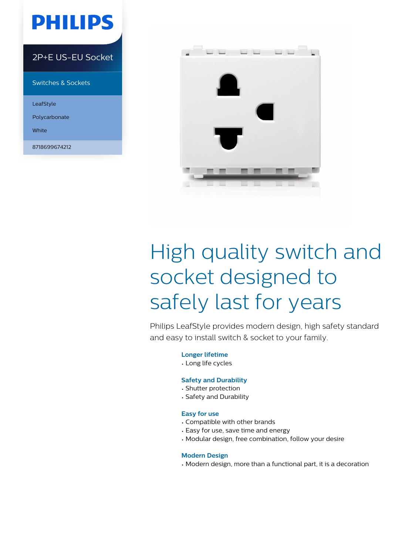## **PHILIPS**

#### 2P+E US-EU Socket

Switches & Sockets

LeafStyle

Polycarbonate

White

8718699674212



# High quality switch and socket designed to safely last for years

Philips LeafStyle provides modern design, high safety standard and easy to install switch & socket to your family.

**Longer lifetime**

• Long life cycles

#### **Safety and Durability**

- Shutter protection
- Safety and Durability

#### **Easy for use**

- Compatible with other brands
- Easy for use, save time and energy
- Modular design, free combination, follow your desire

#### **Modern Design**

• Modern design, more than a functional part, it is a decoration